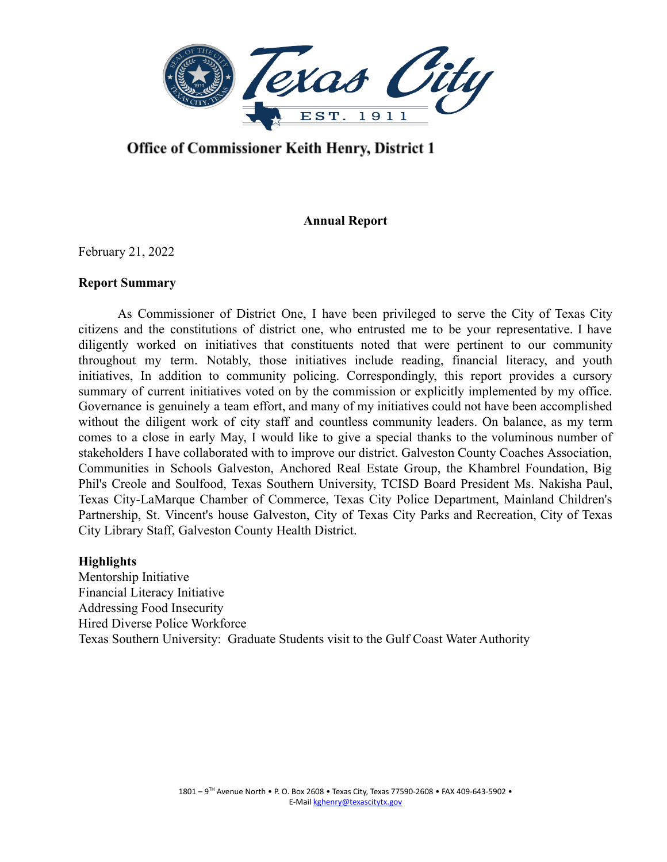lexas City EST. 1911

# Office of Commissioner Keith Henry, District 1

# **Annual Report**

February 21, 2022

# **Report Summary**

As Commissioner of District One, I have been privileged to serve the City of Texas City citizens and the constitutions of district one, who entrusted me to be your representative. I have diligently worked on initiatives that constituents noted that were pertinent to our community throughout my term. Notably, those initiatives include reading, financial literacy, and youth initiatives, In addition to community policing. Correspondingly, this report provides a cursory summary of current initiatives voted on by the commission or explicitly implemented by my office. Governance is genuinely a team effort, and many of my initiatives could not have been accomplished without the diligent work of city staff and countless community leaders. On balance, as my term comes to a close in early May, I would like to give a special thanks to the voluminous number of stakeholders I have collaborated with to improve our district. Galveston County Coaches Association, Communities in Schools Galveston, Anchored Real Estate Group, the Khambrel Foundation, Big Phil's Creole and Soulfood, Texas Southern University, TCISD Board President Ms. Nakisha Paul, Texas City-LaMarque Chamber of Commerce, Texas City Police Department, Mainland Children's Partnership, St. Vincent's house Galveston, City of Texas City Parks and Recreation, City of Texas City Library Staff, Galveston County Health District.

#### **Highlights**

Mentorship Initiative Financial Literacy Initiative Addressing Food Insecurity Hired Diverse Police Workforce Texas Southern University: Graduate Students visit to the Gulf Coast Water Authority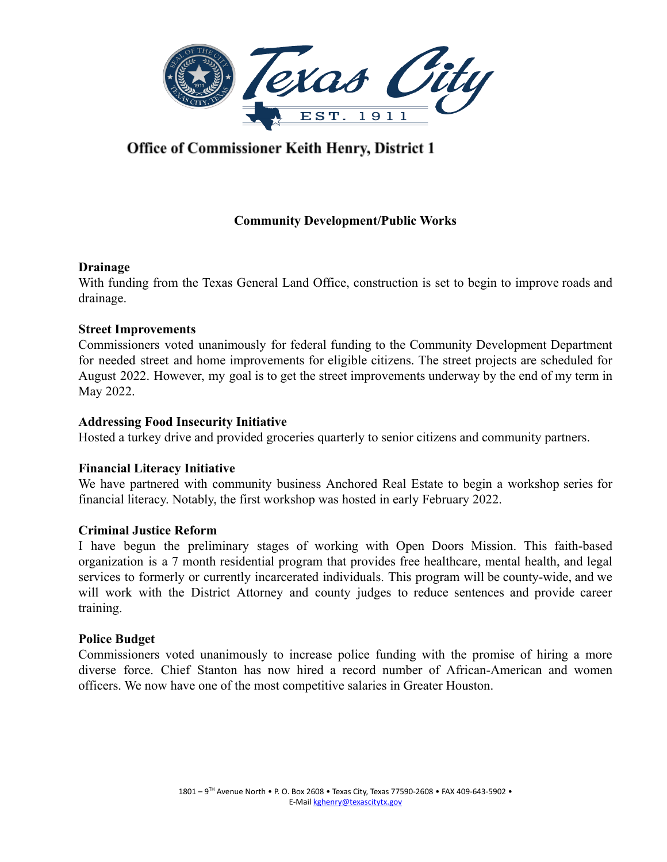

# Office of Commissioner Keith Henry, District 1

# **Community Development/Public Works**

# **Drainage**

With funding from the Texas General Land Office, construction is set to begin to improve roads and drainage.

# **Street Improvements**

Commissioners voted unanimously for federal funding to the Community Development Department for needed street and home improvements for eligible citizens. The street projects are scheduled for August 2022. However, my goal is to get the street improvements underway by the end of my term in May 2022.

# **Addressing Food Insecurity Initiative**

Hosted a turkey drive and provided groceries quarterly to senior citizens and community partners.

#### **Financial Literacy Initiative**

We have partnered with community business Anchored Real Estate to begin a workshop series for financial literacy. Notably, the first workshop was hosted in early February 2022.

#### **Criminal Justice Reform**

I have begun the preliminary stages of working with Open Doors Mission. This faith-based organization is a 7 month residential program that provides free healthcare, mental health, and legal services to formerly or currently incarcerated individuals. This program will be county-wide, and we will work with the District Attorney and county judges to reduce sentences and provide career training.

#### **Police Budget**

Commissioners voted unanimously to increase police funding with the promise of hiring a more diverse force. Chief Stanton has now hired a record number of African-American and women officers. We now have one of the most competitive salaries in Greater Houston.